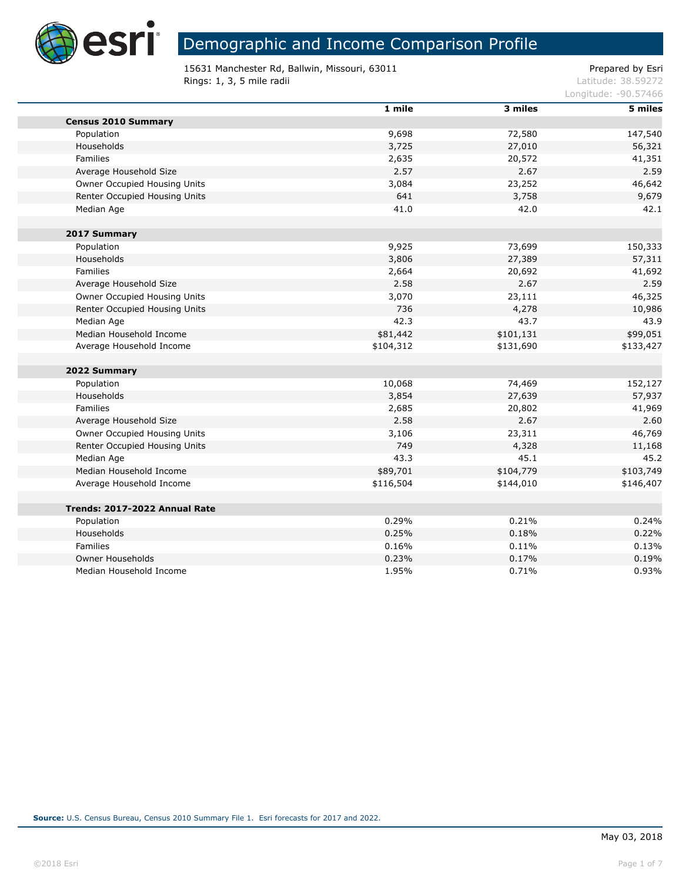

×

# Demographic and Income Comparison Profile

15631 Manchester Rd, Ballwin, Missouri, 63011 extending the prepared by Esri **Rings: 1, 3, 5 mile radii** Latitude: 38.59272

|                               | 1 mile    | 3 miles   | 5 miles   |
|-------------------------------|-----------|-----------|-----------|
| <b>Census 2010 Summary</b>    |           |           |           |
| Population                    | 9,698     | 72,580    | 147,540   |
| Households                    | 3,725     | 27,010    | 56,321    |
| Families                      | 2,635     | 20,572    | 41,351    |
| Average Household Size        | 2.57      | 2.67      | 2.59      |
| Owner Occupied Housing Units  | 3,084     | 23,252    | 46,642    |
| Renter Occupied Housing Units | 641       | 3,758     | 9,679     |
| Median Age                    | 41.0      | 42.0      | 42.1      |
| 2017 Summary                  |           |           |           |
| Population                    | 9,925     | 73,699    | 150,333   |
| Households                    | 3,806     | 27,389    | 57,311    |
| Families                      | 2,664     | 20,692    | 41,692    |
| Average Household Size        | 2.58      | 2.67      | 2.59      |
| Owner Occupied Housing Units  | 3,070     | 23,111    | 46,325    |
| Renter Occupied Housing Units | 736       | 4,278     | 10,986    |
| Median Age                    | 42.3      | 43.7      | 43.9      |
| Median Household Income       | \$81,442  | \$101,131 | \$99,051  |
| Average Household Income      | \$104,312 | \$131,690 | \$133,427 |
| 2022 Summary                  |           |           |           |
| Population                    | 10,068    | 74,469    | 152,127   |
| Households                    | 3,854     | 27,639    | 57,937    |
| Families                      | 2,685     | 20,802    | 41,969    |
| Average Household Size        | 2.58      | 2.67      | 2.60      |
| Owner Occupied Housing Units  | 3,106     | 23,311    | 46,769    |
| Renter Occupied Housing Units | 749       | 4,328     | 11,168    |
| Median Age                    | 43.3      | 45.1      | 45.2      |
| Median Household Income       | \$89,701  | \$104,779 | \$103,749 |
| Average Household Income      | \$116,504 | \$144,010 | \$146,407 |
| Trends: 2017-2022 Annual Rate |           |           |           |
| Population                    | 0.29%     | 0.21%     | 0.24%     |
| Households                    | 0.25%     | 0.18%     | 0.22%     |
| Families                      | 0.16%     | 0.11%     | 0.13%     |
| <b>Owner Households</b>       | 0.23%     | 0.17%     | 0.19%     |
| Median Household Income       | 1.95%     | 0.71%     | 0.93%     |
|                               |           |           |           |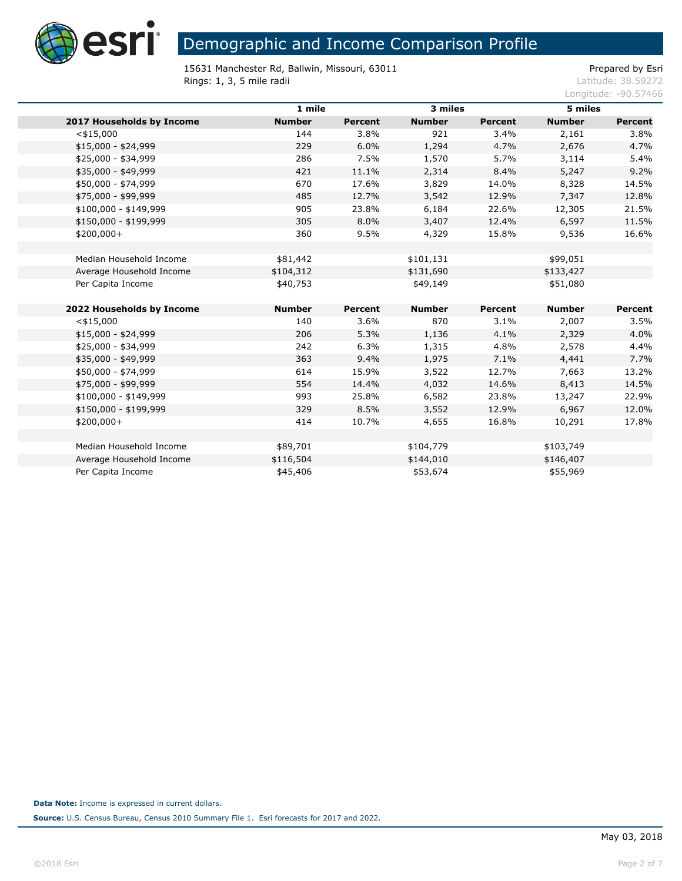

15631 Manchester Rd, Ballwin, Missouri, 63011 Prepared by Esri<br>Rings: 1, 3, 5 mile radii Prepared by Esri Rings: 1, 3, 5 mile radii

|                           | 1 mile        |                | 3 miles       |                | 5 miles       |                |
|---------------------------|---------------|----------------|---------------|----------------|---------------|----------------|
| 2017 Households by Income | <b>Number</b> | <b>Percent</b> | <b>Number</b> | <b>Percent</b> | <b>Number</b> | <b>Percent</b> |
| $<$ \$15,000              | 144           | 3.8%           | 921           | 3.4%           | 2,161         | 3.8%           |
| $$15,000 - $24,999$       | 229           | 6.0%           | 1,294         | 4.7%           | 2,676         | 4.7%           |
| \$25,000 - \$34,999       | 286           | 7.5%           | 1,570         | 5.7%           | 3,114         | 5.4%           |
| \$35,000 - \$49,999       | 421           | 11.1%          | 2,314         | 8.4%           | 5,247         | 9.2%           |
| \$50,000 - \$74,999       | 670           | 17.6%          | 3,829         | 14.0%          | 8,328         | 14.5%          |
| \$75,000 - \$99,999       | 485           | 12.7%          | 3,542         | 12.9%          | 7,347         | 12.8%          |
| $$100,000 - $149,999$     | 905           | 23.8%          | 6,184         | 22.6%          | 12,305        | 21.5%          |
| \$150,000 - \$199,999     | 305           | 8.0%           | 3,407         | 12.4%          | 6,597         | 11.5%          |
| $$200,000+$               | 360           | 9.5%           | 4,329         | 15.8%          | 9,536         | 16.6%          |
|                           |               |                |               |                |               |                |
| Median Household Income   | \$81,442      |                | \$101,131     |                | \$99,051      |                |
| Average Household Income  | \$104,312     |                | \$131,690     |                | \$133,427     |                |
| Per Capita Income         | \$40,753      |                | \$49,149      |                | \$51,080      |                |
|                           |               |                |               |                |               |                |
| 2022 Households by Income | <b>Number</b> | <b>Percent</b> | <b>Number</b> | <b>Percent</b> | <b>Number</b> | Percent        |
| $<$ \$15,000              | 140           | 3.6%           | 870           | 3.1%           | 2,007         | 3.5%           |
| $$15,000 - $24,999$       | 206           | 5.3%           | 1,136         | 4.1%           | 2,329         | 4.0%           |
| \$25,000 - \$34,999       | 242           | 6.3%           | 1,315         | 4.8%           | 2,578         | 4.4%           |
| \$35,000 - \$49,999       | 363           | 9.4%           | 1,975         | 7.1%           | 4,441         | 7.7%           |
| \$50,000 - \$74,999       | 614           | 15.9%          | 3,522         | 12.7%          | 7,663         | 13.2%          |
| \$75,000 - \$99,999       | 554           | 14.4%          | 4,032         | 14.6%          | 8,413         | 14.5%          |
| $$100,000 - $149,999$     | 993           | 25.8%          | 6,582         | 23.8%          | 13,247        | 22.9%          |
| \$150,000 - \$199,999     | 329           | 8.5%           | 3,552         | 12.9%          | 6,967         | 12.0%          |
| $$200,000+$               | 414           | 10.7%          | 4,655         | 16.8%          | 10,291        | 17.8%          |
|                           |               |                |               |                |               |                |
| Median Household Income   | \$89,701      |                | \$104,779     |                | \$103,749     |                |
| Average Household Income  | \$116,504     |                | \$144,010     |                | \$146,407     |                |
| Per Capita Income         | \$45,406      |                | \$53,674      |                | \$55,969      |                |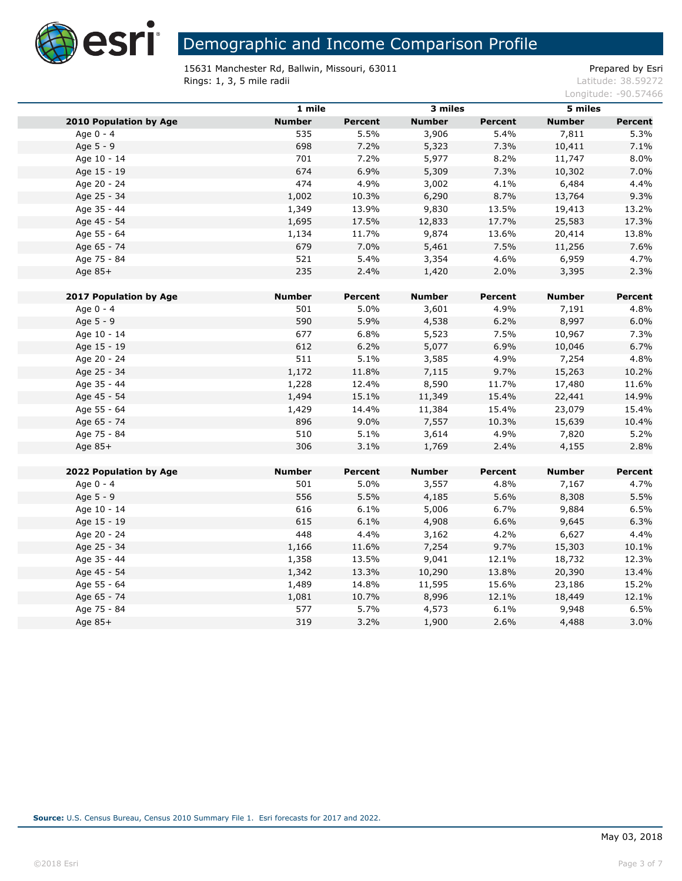

15631 Manchester Rd, Ballwin, Missouri, 63011 **Prepared by Estimate and Accord Accord Figure** Prepared by Esri **Rings: 1, 3, 5 mile radii** Latitude: 38.59272

|                               | 1 mile        |                | 3 miles       |                | 5 miles       |                |
|-------------------------------|---------------|----------------|---------------|----------------|---------------|----------------|
| <b>2010 Population by Age</b> | <b>Number</b> | <b>Percent</b> | <b>Number</b> | <b>Percent</b> | <b>Number</b> | Percent        |
| Age 0 - 4                     | 535           | 5.5%           | 3,906         | 5.4%           | 7,811         | 5.3%           |
| Age 5 - 9                     | 698           | 7.2%           | 5,323         | 7.3%           | 10,411        | 7.1%           |
| Age 10 - 14                   | 701           | 7.2%           | 5,977         | 8.2%           | 11,747        | 8.0%           |
| Age 15 - 19                   | 674           | 6.9%           | 5,309         | 7.3%           | 10,302        | 7.0%           |
| Age 20 - 24                   | 474           | 4.9%           | 3,002         | 4.1%           | 6,484         | 4.4%           |
| Age 25 - 34                   | 1,002         | 10.3%          | 6,290         | 8.7%           | 13,764        | 9.3%           |
| Age 35 - 44                   | 1,349         | 13.9%          | 9,830         | 13.5%          | 19,413        | 13.2%          |
| Age 45 - 54                   | 1,695         | 17.5%          | 12,833        | 17.7%          | 25,583        | 17.3%          |
| Age 55 - 64                   | 1,134         | 11.7%          | 9,874         | 13.6%          | 20,414        | 13.8%          |
| Age 65 - 74                   | 679           | 7.0%           | 5,461         | 7.5%           | 11,256        | 7.6%           |
| Age 75 - 84                   | 521           | 5.4%           | 3,354         | 4.6%           | 6,959         | 4.7%           |
| Age 85+                       | 235           | 2.4%           | 1,420         | 2.0%           | 3,395         | 2.3%           |
| 2017 Population by Age        | <b>Number</b> | <b>Percent</b> | <b>Number</b> | Percent        | <b>Number</b> | <b>Percent</b> |
| Age 0 - 4                     | 501           | 5.0%           | 3,601         | 4.9%           | 7,191         | 4.8%           |
| Age 5 - 9                     | 590           | 5.9%           | 4,538         | 6.2%           | 8,997         | 6.0%           |
| Age 10 - 14                   | 677           | 6.8%           | 5,523         | 7.5%           | 10,967        | 7.3%           |
| Age 15 - 19                   | 612           | 6.2%           | 5,077         | 6.9%           | 10,046        | 6.7%           |
| Age 20 - 24                   | 511           | 5.1%           | 3,585         | 4.9%           | 7,254         | 4.8%           |
| Age 25 - 34                   | 1,172         | 11.8%          | 7,115         | 9.7%           | 15,263        | 10.2%          |
| Age 35 - 44                   | 1,228         | 12.4%          | 8,590         | 11.7%          | 17,480        | 11.6%          |
| Age 45 - 54                   | 1,494         | 15.1%          | 11,349        | 15.4%          | 22,441        | 14.9%          |
| Age 55 - 64                   | 1,429         | 14.4%          | 11,384        | 15.4%          | 23,079        | 15.4%          |
| Age 65 - 74                   | 896           | 9.0%           | 7,557         | 10.3%          | 15,639        | 10.4%          |
| Age 75 - 84                   | 510           | 5.1%           | 3,614         | 4.9%           | 7,820         | 5.2%           |
| Age 85+                       | 306           | 3.1%           | 1,769         | 2.4%           | 4,155         | 2.8%           |
|                               |               |                |               |                |               |                |
| 2022 Population by Age        | <b>Number</b> | Percent        | <b>Number</b> | <b>Percent</b> | <b>Number</b> | <b>Percent</b> |
| Age 0 - 4                     | 501           | 5.0%           | 3,557         | 4.8%           | 7,167         | 4.7%           |
| Age 5 - 9                     | 556           | 5.5%           | 4,185         | 5.6%           | 8,308         | 5.5%           |
| Age 10 - 14                   | 616           | 6.1%           | 5,006         | 6.7%           | 9,884         | 6.5%           |
| Age 15 - 19                   | 615           | 6.1%           | 4,908         | 6.6%           | 9,645         | 6.3%           |
| Age 20 - 24                   | 448           | 4.4%           | 3,162         | 4.2%           | 6,627         | 4.4%           |
| Age 25 - 34                   | 1,166         | 11.6%          | 7,254         | 9.7%           | 15,303        | 10.1%          |
| Age 35 - 44                   | 1,358         | 13.5%          | 9,041         | 12.1%          | 18,732        | 12.3%          |
| Age 45 - 54                   | 1,342         | 13.3%          | 10,290        | 13.8%          | 20,390        | 13.4%          |
| Age 55 - 64                   | 1,489         | 14.8%          | 11,595        | 15.6%          | 23,186        | 15.2%          |
| Age 65 - 74                   | 1,081         | 10.7%          | 8,996         | 12.1%          | 18,449        | 12.1%          |
| Age 75 - 84                   | 577           | 5.7%           | 4,573         | 6.1%           | 9,948         | 6.5%           |
| Age 85+                       | 319           | 3.2%           | 1,900         | 2.6%           | 4,488         | 3.0%           |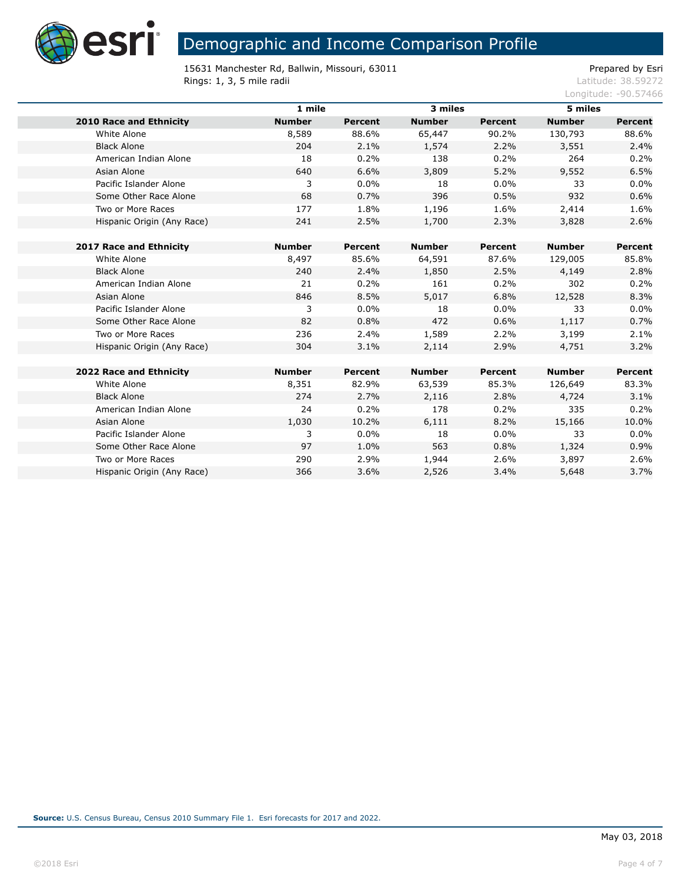

15631 Manchester Rd, Ballwin, Missouri, 63011 Prepared by Esri<br>Rings: 1, 3, 5 mile radii Prepared by Esri Rings: 1, 3, 5 mile radii

|                                | 1 mile        |                | 3 miles       |                | 5 miles       |                |
|--------------------------------|---------------|----------------|---------------|----------------|---------------|----------------|
| <b>2010 Race and Ethnicity</b> | <b>Number</b> | Percent        | <b>Number</b> | <b>Percent</b> | <b>Number</b> | <b>Percent</b> |
| White Alone                    | 8,589         | 88.6%          | 65,447        | 90.2%          | 130,793       | 88.6%          |
| <b>Black Alone</b>             | 204           | 2.1%           | 1,574         | 2.2%           | 3,551         | 2.4%           |
| American Indian Alone          | 18            | 0.2%           | 138           | 0.2%           | 264           | 0.2%           |
| Asian Alone                    | 640           | 6.6%           | 3,809         | 5.2%           | 9,552         | 6.5%           |
| Pacific Islander Alone         | 3             | 0.0%           | 18            | 0.0%           | 33            | $0.0\%$        |
| Some Other Race Alone          | 68            | 0.7%           | 396           | 0.5%           | 932           | 0.6%           |
| Two or More Races              | 177           | 1.8%           | 1,196         | 1.6%           | 2,414         | 1.6%           |
| Hispanic Origin (Any Race)     | 241           | 2.5%           | 1,700         | 2.3%           | 3,828         | 2.6%           |
|                                |               |                |               |                |               |                |
| 2017 Race and Ethnicity        | <b>Number</b> | <b>Percent</b> | <b>Number</b> | Percent        | <b>Number</b> | Percent        |
| White Alone                    | 8,497         | 85.6%          | 64,591        | 87.6%          | 129,005       | 85.8%          |
| <b>Black Alone</b>             | 240           | 2.4%           | 1,850         | 2.5%           | 4,149         | 2.8%           |
| American Indian Alone          | 21            | 0.2%           | 161           | 0.2%           | 302           | 0.2%           |
| Asian Alone                    | 846           | 8.5%           | 5,017         | 6.8%           | 12,528        | 8.3%           |
| Pacific Islander Alone         | 3             | 0.0%           | 18            | 0.0%           | 33            | $0.0\%$        |
| Some Other Race Alone          | 82            | 0.8%           | 472           | 0.6%           | 1,117         | 0.7%           |
| Two or More Races              | 236           | 2.4%           | 1,589         | 2.2%           | 3,199         | 2.1%           |
| Hispanic Origin (Any Race)     | 304           | 3.1%           | 2,114         | 2.9%           | 4,751         | 3.2%           |
|                                |               |                |               |                |               |                |
| 2022 Race and Ethnicity        | <b>Number</b> | Percent        | <b>Number</b> | <b>Percent</b> | <b>Number</b> | Percent        |
| White Alone                    | 8,351         | 82.9%          | 63,539        | 85.3%          | 126,649       | 83.3%          |
| <b>Black Alone</b>             | 274           | 2.7%           | 2,116         | 2.8%           | 4,724         | 3.1%           |
| American Indian Alone          | 24            | 0.2%           | 178           | 0.2%           | 335           | 0.2%           |
| Asian Alone                    | 1,030         | 10.2%          | 6,111         | 8.2%           | 15,166        | 10.0%          |
| Pacific Islander Alone         | 3             | 0.0%           | 18            | $0.0\%$        | 33            | 0.0%           |
| Some Other Race Alone          | 97            | 1.0%           | 563           | 0.8%           | 1,324         | 0.9%           |
| Two or More Races              | 290           | 2.9%           | 1,944         | 2.6%           | 3,897         | 2.6%           |
| Hispanic Origin (Any Race)     | 366           | 3.6%           | 2,526         | 3.4%           | 5,648         | 3.7%           |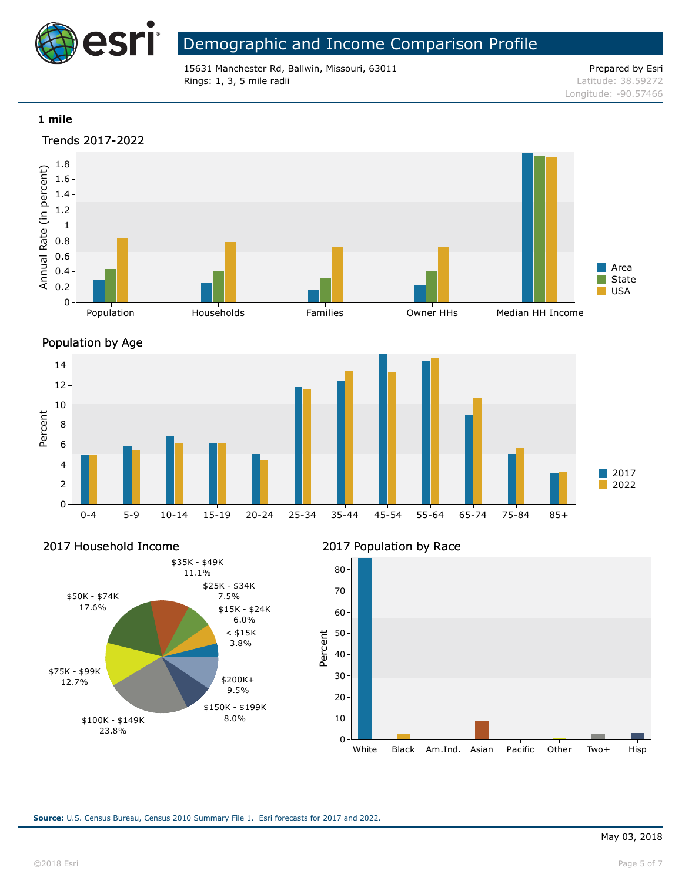

15631 Manchester Rd, Ballwin, Missouri, 63011 **Prepared by Esri** Prepared by Esri Rings: 1, 3, 5 mile radii and the state of the state of the contract of the contract of the contract of the contract of the contract of the contract of the contract of the contract of the contract of the contract of the co

Longitude: -90.57466

### **1 mile**





Percent

2017 Household Income



## 2017 Population by Race

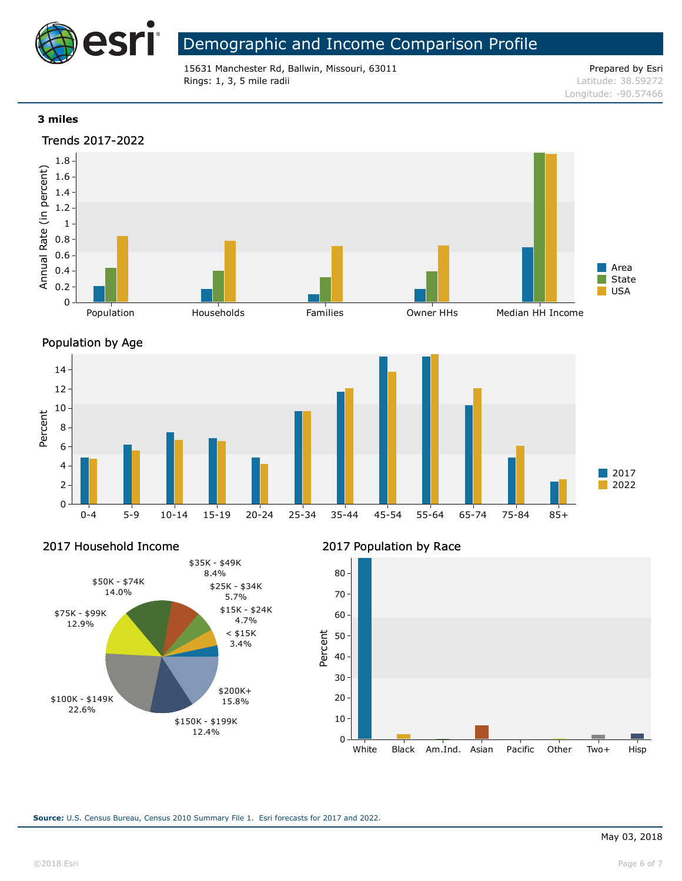

15631 Manchester Rd, Ballwin, Missouri, 63011 **Prepared by Esri** Prepared by Esri Rings: 1, 3, 5 mile radii and the state of the state of the contract of the contract of the contract of the contract of the contract of the contract of the contract of the contract of the contract of the contract of the co

Longitude: -90.57466

### **3 miles**





Percent

2017 Household Income



### 2017 Population by Race